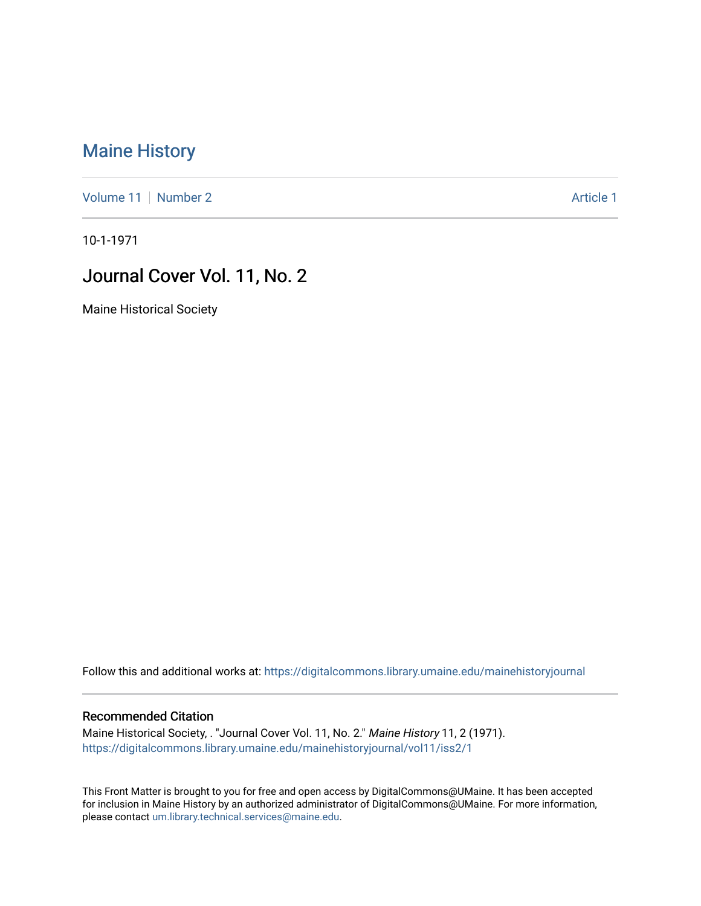## [Maine History](https://digitalcommons.library.umaine.edu/mainehistoryjournal)

[Volume 11](https://digitalcommons.library.umaine.edu/mainehistoryjournal/vol11) [Number 2](https://digitalcommons.library.umaine.edu/mainehistoryjournal/vol11/iss2) Article 1

10-1-1971

## Journal Cover Vol. 11, No. 2

Maine Historical Society

Follow this and additional works at: [https://digitalcommons.library.umaine.edu/mainehistoryjournal](https://digitalcommons.library.umaine.edu/mainehistoryjournal?utm_source=digitalcommons.library.umaine.edu%2Fmainehistoryjournal%2Fvol11%2Fiss2%2F1&utm_medium=PDF&utm_campaign=PDFCoverPages) 

## Recommended Citation

Maine Historical Society, . "Journal Cover Vol. 11, No. 2." Maine History 11, 2 (1971). [https://digitalcommons.library.umaine.edu/mainehistoryjournal/vol11/iss2/1](https://digitalcommons.library.umaine.edu/mainehistoryjournal/vol11/iss2/1?utm_source=digitalcommons.library.umaine.edu%2Fmainehistoryjournal%2Fvol11%2Fiss2%2F1&utm_medium=PDF&utm_campaign=PDFCoverPages)

This Front Matter is brought to you for free and open access by DigitalCommons@UMaine. It has been accepted for inclusion in Maine History by an authorized administrator of DigitalCommons@UMaine. For more information, please contact [um.library.technical.services@maine.edu.](mailto:um.library.technical.services@maine.edu)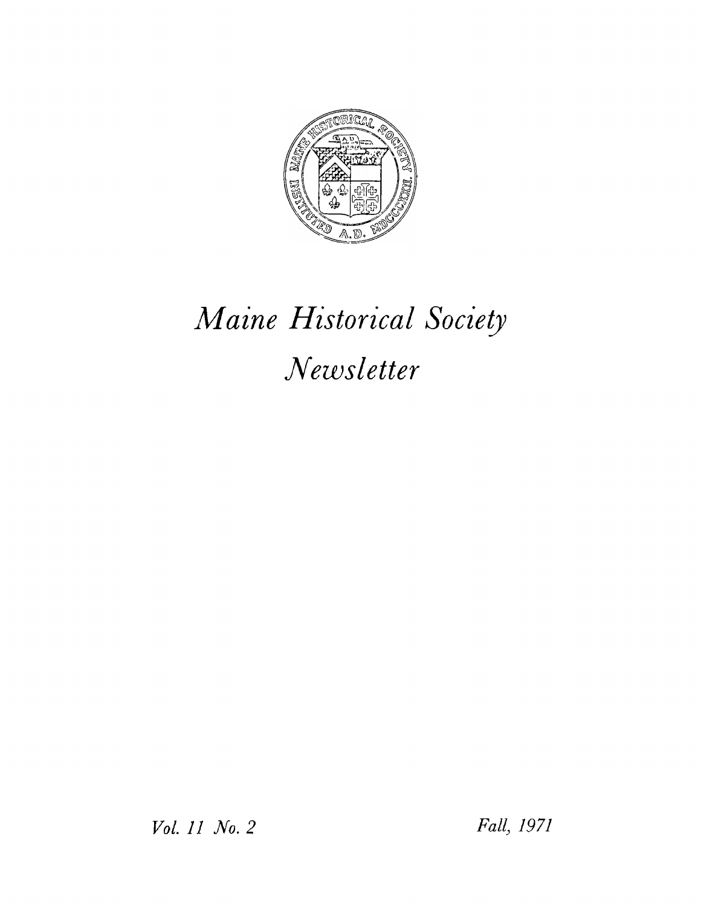

## *Maine Historical Society Newsletter*